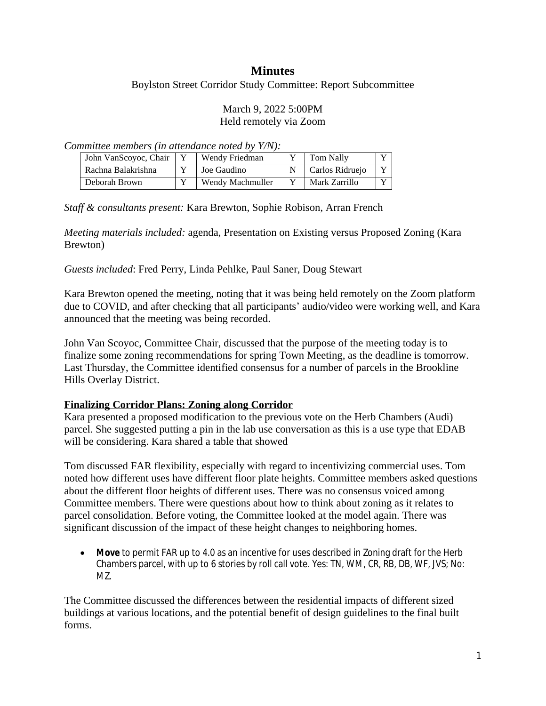# **Minutes**

Boylston Street Corridor Study Committee: Report Subcommittee

#### March 9, 2022 5:00PM Held remotely via Zoom

*Committee members (in attendance noted by Y/N):*

| John VanScovoc, Chair | Wendy Friedman   | Tom Nally       |              |
|-----------------------|------------------|-----------------|--------------|
| Rachna Balakrishna    | Joe Gaudino      | Carlos Ridruejo | $\mathbf{x}$ |
| Deborah Brown         | Wendy Machmuller | Mark Zarrillo   |              |

*Staff & consultants present:* Kara Brewton, Sophie Robison, Arran French

*Meeting materials included:* agenda, Presentation on Existing versus Proposed Zoning (Kara Brewton)

*Guests included*: Fred Perry, Linda Pehlke, Paul Saner, Doug Stewart

Kara Brewton opened the meeting, noting that it was being held remotely on the Zoom platform due to COVID, and after checking that all participants' audio/video were working well, and Kara announced that the meeting was being recorded.

John Van Scoyoc, Committee Chair, discussed that the purpose of the meeting today is to finalize some zoning recommendations for spring Town Meeting, as the deadline is tomorrow. Last Thursday, the Committee identified consensus for a number of parcels in the Brookline Hills Overlay District.

# **Finalizing Corridor Plans: Zoning along Corridor**

Kara presented a proposed modification to the previous vote on the Herb Chambers (Audi) parcel. She suggested putting a pin in the lab use conversation as this is a use type that EDAB will be considering. Kara shared a table that showed

Tom discussed FAR flexibility, especially with regard to incentivizing commercial uses. Tom noted how different uses have different floor plate heights. Committee members asked questions about the different floor heights of different uses. There was no consensus voiced among Committee members. There were questions about how to think about zoning as it relates to parcel consolidation. Before voting, the Committee looked at the model again. There was significant discussion of the impact of these height changes to neighboring homes.

 **Move** to permit FAR up to 4.0 as an incentive for uses described in Zoning draft for the Herb Chambers parcel, with up to 6 stories by roll call vote. Yes: TN, WM, CR, RB, DB, WF, JVS; No: MZ.

The Committee discussed the differences between the residential impacts of different sized buildings at various locations, and the potential benefit of design guidelines to the final built forms.